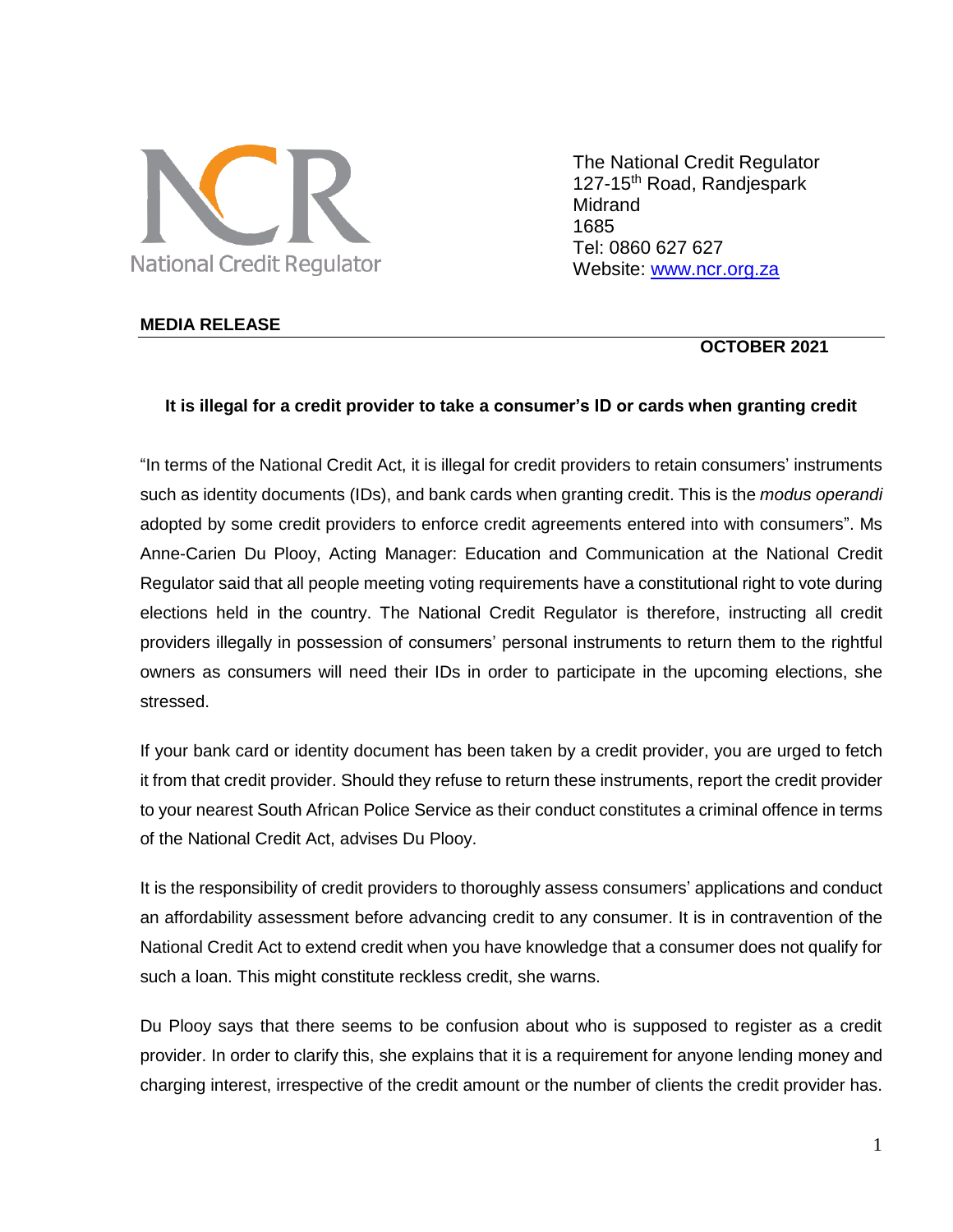

The National Credit Regulator 127-15<sup>th</sup> Road, Randjespark Midrand 1685 Tel: 0860 627 627 Website: [www.ncr.org.za](http://www.ncr.org.za/)

# **MEDIA RELEASE**

## **OCTOBER 2021**

### **It is illegal for a credit provider to take a consumer's ID or cards when granting credit**

"In terms of the National Credit Act, it is illegal for credit providers to retain consumers' instruments such as identity documents (IDs), and bank cards when granting credit. This is the *modus operandi* adopted by some credit providers to enforce credit agreements entered into with consumers". Ms Anne-Carien Du Plooy, Acting Manager: Education and Communication at the National Credit Regulator said that all people meeting voting requirements have a constitutional right to vote during elections held in the country. The National Credit Regulator is therefore, instructing all credit providers illegally in possession of consumers' personal instruments to return them to the rightful owners as consumers will need their IDs in order to participate in the upcoming elections, she stressed.

If your bank card or identity document has been taken by a credit provider, you are urged to fetch it from that credit provider. Should they refuse to return these instruments, report the credit provider to your nearest South African Police Service as their conduct constitutes a criminal offence in terms of the National Credit Act, advises Du Plooy.

It is the responsibility of credit providers to thoroughly assess consumers' applications and conduct an affordability assessment before advancing credit to any consumer. It is in contravention of the National Credit Act to extend credit when you have knowledge that a consumer does not qualify for such a loan. This might constitute reckless credit, she warns.

Du Plooy says that there seems to be confusion about who is supposed to register as a credit provider. In order to clarify this, she explains that it is a requirement for anyone lending money and charging interest, irrespective of the credit amount or the number of clients the credit provider has.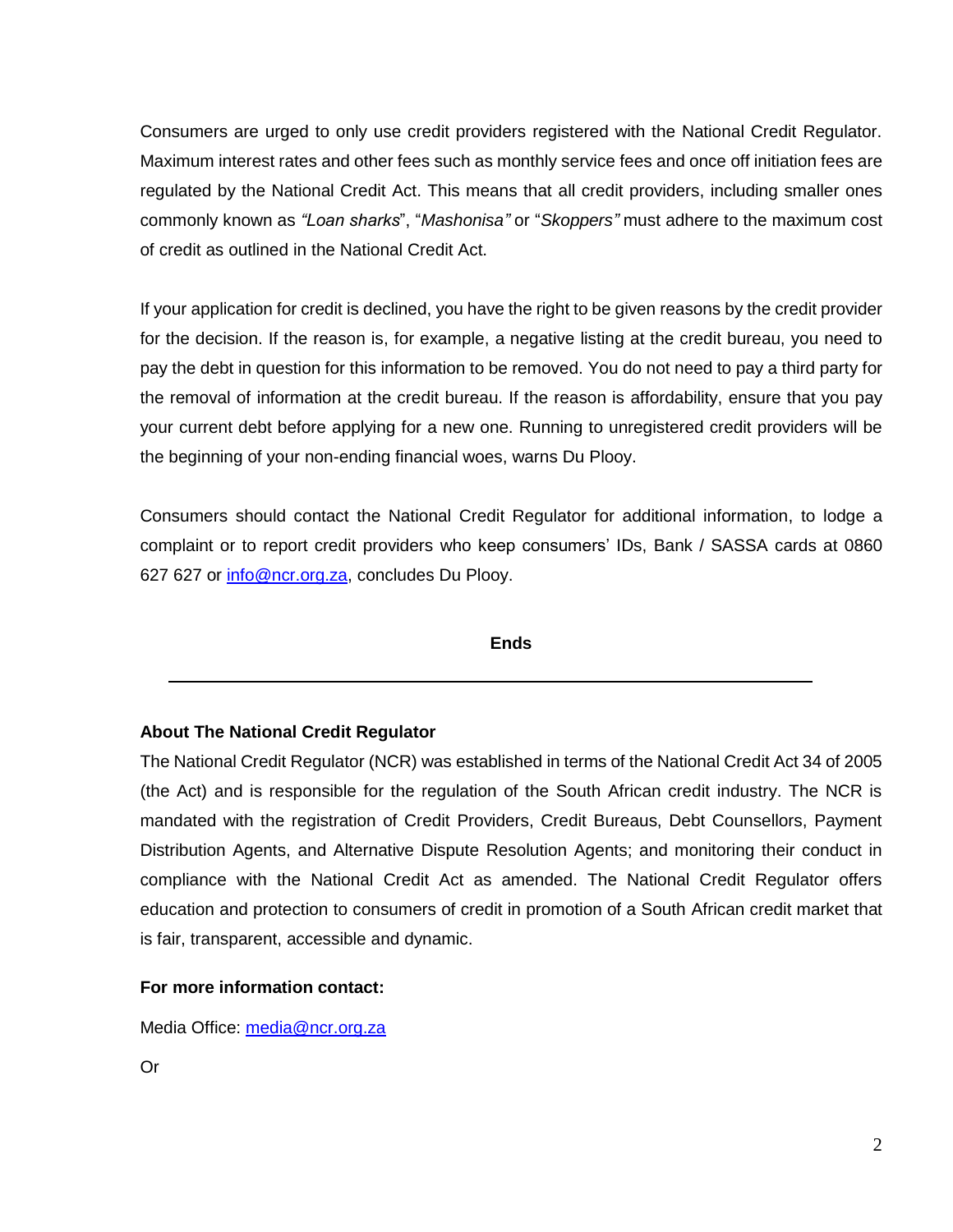Consumers are urged to only use credit providers registered with the National Credit Regulator. Maximum interest rates and other fees such as monthly service fees and once off initiation fees are regulated by the National Credit Act. This means that all credit providers, including smaller ones commonly known as *"Loan sharks*", "*Mashonisa"* or "*Skoppers"* must adhere to the maximum cost of credit as outlined in the National Credit Act.

If your application for credit is declined, you have the right to be given reasons by the credit provider for the decision. If the reason is, for example, a negative listing at the credit bureau, you need to pay the debt in question for this information to be removed. You do not need to pay a third party for the removal of information at the credit bureau. If the reason is affordability, ensure that you pay your current debt before applying for a new one. Running to unregistered credit providers will be the beginning of your non-ending financial woes, warns Du Plooy.

Consumers should contact the National Credit Regulator for additional information, to lodge a complaint or to report credit providers who keep consumers' IDs, Bank / SASSA cards at 0860 627 627 or [info@ncr.org.za,](mailto:info@ncr.org.za) concludes Du Plooy.

**Ends**

# **About The National Credit Regulator**

The National Credit Regulator (NCR) was established in terms of the National Credit Act 34 of 2005 (the Act) and is responsible for the regulation of the South African credit industry. The NCR is mandated with the registration of Credit Providers, Credit Bureaus, Debt Counsellors, Payment Distribution Agents, and Alternative Dispute Resolution Agents; and monitoring their conduct in compliance with the National Credit Act as amended. The National Credit Regulator offers education and protection to consumers of credit in promotion of a South African credit market that is fair, transparent, accessible and dynamic.

# **For more information contact:**

Media Office: [media@ncr.org.za](mailto:media@ncr.org.za)

Or